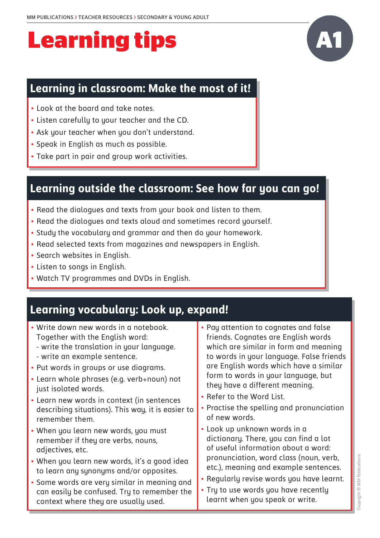# **Learning tips**

#### **Learning in classroom: Make the most of it!**

- Look at the board and take notes.
- Listen carefully to your teacher and the CD.
- Ask your teacher when you don't understand.
- Speak in English as much as possible.
- Take part in pair and group work activities.

#### **Learning outside the classroom: See how far you can go!**

- Read the dialogues and texts from your book and listen to them.
- Read the dialogues and texts aloud and sometimes record yourself.
- Study the vocabulary and grammar and then do your homework.
- Read selected texts from magazines and newspapers in English.
- Search websites in English.
- Listen to songs in English.
- Watch TV programmes and DVDs in English.

#### **Learning vocabulary: Look up, expand!**

• Write down new words in a notebook. Together with the English word: - write the translation in your language. - write an example sentence. • Put words in groups or use diagrams. • Learn whole phrases (e.g. verb+noun) not just isolated words. • Learn new words in context (in sentences describing situations). This way, it is easier to remember them. • When you learn new words, you must remember if they are verbs, nouns, adjectives, etc. • When you learn new words, it's a good idea to learn any synonyms and/or opposites. • Some words are very similar in meaning and can easily be confused. Try to remember the context where they are usually used. • Pay attention to cognates and false friends. Cognates are English words which are similar in form and meaning to words in your language. False friends are English words which have a similar form to words in your language, but they have a different meaning. • Refer to the Word List. • Practise the spelling and pronunciation of new words. • Look up unknown words in a dictionary. There, you can find a lot of useful information about a word: pronunciation, word class (noun, verb, etc.), meaning and example sentences. • Regularly revise words you have learnt. • Try to use words you have recently learnt when you speak or write.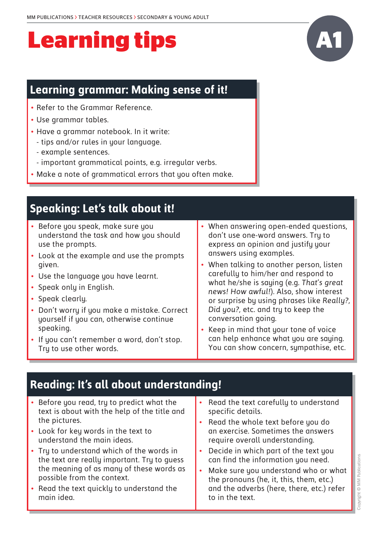# **Learning tips**

### **Learning grammar: Making sense of it!**

- Refer to the Grammar Reference.
- Use grammar tables.
- Have a grammar notebook. In it write:
	- tips and/or rules in your language.
	- example sentences.
	- important grammatical points, e.g. irregular verbs.
- Make a note of grammatical errors that you often make.

## **Speaking: Let's talk about it!**

- Before you speak, make sure you understand the task and how you should use the prompts.
- Look at the example and use the prompts given.
- Use the language you have learnt.
- Speak only in English.
- Speak clearly.
- Don't worry if you make a mistake. Correct yourself if you can, otherwise continue speaking.
- If you can't remember a word, don't stop. Try to use other words.
- When answering open-ended questions, don't use one-word answers. Try to express an opinion and justify your answers using examples.
- When talking to another person, listen carefully to him/her and respond to what he/she is saying (e.g. *That's great news! How awful!*). Also, show interest or surprise by using phrases like *Really?, Did you?,* etc. and try to keep the conversation going.
- Keep in mind that your tone of voice can help enhance what you are saying. You can show concern, sympathise, etc.

## **Reading: It's all about understanding!**

- Before you read, try to predict what the text is about with the help of the title and the pictures.
- Look for key words in the text to understand the main ideas.
- Try to understand which of the words in the text are really important. Try to guess the meaning of as many of these words as possible from the context.
- Read the text quickly to understand the main idea.
- Read the text carefully to understand specific details.
- Read the whole text before you do an exercise. Sometimes the answers require overall understanding.
- Decide in which part of the text you can find the information you need.
- Make sure you understand who or what the pronouns (he, it, this, them, etc.) and the adverbs (here, there, etc.) refer to in the text.